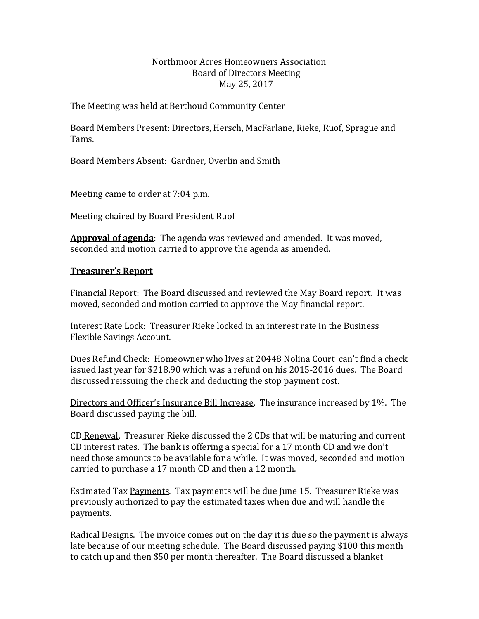## Northmoor Acres Homeowners Association Board of Directors Meeting May 25, 2017

The Meeting was held at Berthoud Community Center

Board Members Present: Directors, Hersch, MacFarlane, Rieke, Ruof, Sprague and Tams. 

Board Members Absent: Gardner, Overlin and Smith

Meeting came to order at 7:04 p.m.

Meeting chaired by Board President Ruof

**Approval of agenda**: The agenda was reviewed and amended. It was moved, seconded and motion carried to approve the agenda as amended.

# **Treasurer's Report**

Financial Report: The Board discussed and reviewed the May Board report. It was moved, seconded and motion carried to approve the May financial report.

Interest Rate Lock: Treasurer Rieke locked in an interest rate in the Business Flexible Savings Account.

Dues Refund Check: Homeowner who lives at 20448 Nolina Court can't find a check issued last year for \$218.90 which was a refund on his 2015-2016 dues. The Board discussed reissuing the check and deducting the stop payment cost.

Directors and Officer's Insurance Bill Increase. The insurance increased by 1%. The Board discussed paying the bill.

CD Renewal. Treasurer Rieke discussed the 2 CDs that will be maturing and current CD interest rates. The bank is offering a special for a 17 month CD and we don't need those amounts to be available for a while. It was moved, seconded and motion carried to purchase a 17 month CD and then a 12 month.

Estimated Tax Payments. Tax payments will be due June 15. Treasurer Rieke was previously authorized to pay the estimated taxes when due and will handle the payments. 

Radical Designs. The invoice comes out on the day it is due so the payment is always late because of our meeting schedule. The Board discussed paying \$100 this month to catch up and then \$50 per month thereafter. The Board discussed a blanket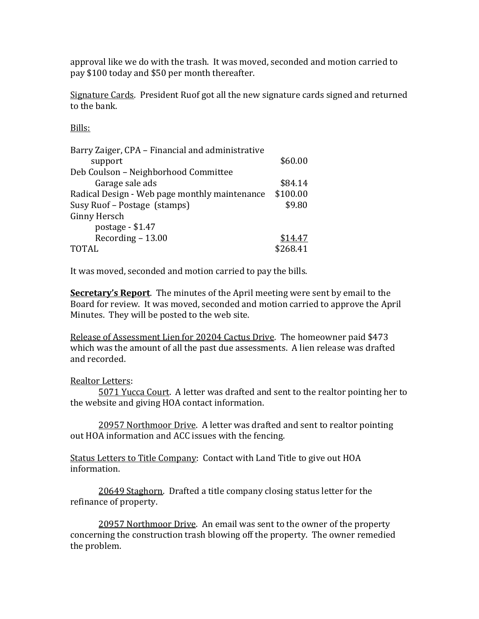approval like we do with the trash. It was moved, seconded and motion carried to pay \$100 today and \$50 per month thereafter.

Signature Cards. President Ruof got all the new signature cards signed and returned to the bank.

Bills: 

| Barry Zaiger, CPA – Financial and administrative |          |
|--------------------------------------------------|----------|
| support                                          | \$60.00  |
| Deb Coulson - Neighborhood Committee             |          |
| Garage sale ads                                  | \$84.14  |
| Radical Design - Web page monthly maintenance    | \$100.00 |
| Susy Ruof – Postage (stamps)                     | \$9.80   |
| Ginny Hersch                                     |          |
| postage - \$1.47                                 |          |
| Recording - 13.00                                | \$14.47  |
| TOTAL                                            | \$268.41 |

It was moved, seconded and motion carried to pay the bills.

**Secretary's Report**. The minutes of the April meeting were sent by email to the Board for review. It was moved, seconded and motion carried to approve the April Minutes. They will be posted to the web site.

Release of Assessment Lien for 20204 Cactus Drive. The homeowner paid \$473 which was the amount of all the past due assessments. A lien release was drafted and recorded.

# Realtor Letters:

5071 Yucca Court. A letter was drafted and sent to the realtor pointing her to the website and giving HOA contact information.

20957 Northmoor Drive. A letter was drafted and sent to realtor pointing out HOA information and ACC issues with the fencing.

Status Letters to Title Company: Contact with Land Title to give out HOA information. 

20649 Staghorn. Drafted a title company closing status letter for the refinance of property.

20957 Northmoor Drive. An email was sent to the owner of the property concerning the construction trash blowing off the property. The owner remedied the problem.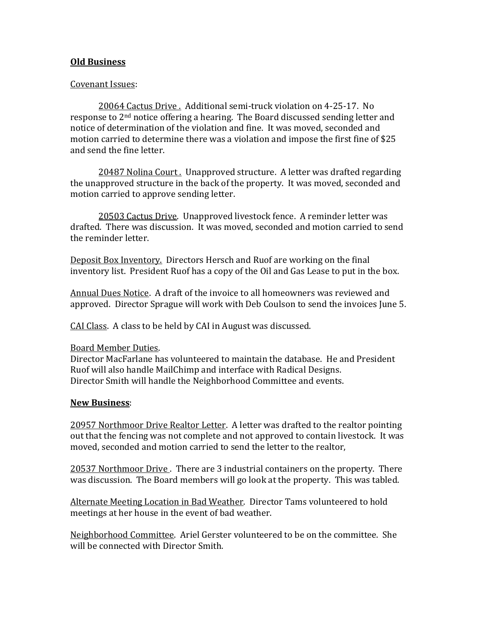## **Old Business**

## Covenant Issues:

20064 Cactus Drive . Additional semi-truck violation on 4-25-17. No response to  $2<sup>nd</sup>$  notice offering a hearing. The Board discussed sending letter and notice of determination of the violation and fine. It was moved, seconded and motion carried to determine there was a violation and impose the first fine of \$25 and send the fine letter.

20487 Nolina Court, Unapproved structure. A letter was drafted regarding the unapproved structure in the back of the property. It was moved, seconded and motion carried to approve sending letter.

20503 Cactus Drive. Unapproved livestock fence. A reminder letter was drafted. There was discussion. It was moved, seconded and motion carried to send the reminder letter.

Deposit Box Inventory. Directors Hersch and Ruof are working on the final inventory list. President Ruof has a copy of the Oil and Gas Lease to put in the box.

Annual Dues Notice. A draft of the invoice to all homeowners was reviewed and approved. Director Sprague will work with Deb Coulson to send the invoices June 5.

CAI Class. A class to be held by CAI in August was discussed.

## Board Member Duties.

Director MacFarlane has volunteered to maintain the database. He and President Ruof will also handle MailChimp and interface with Radical Designs. Director Smith will handle the Neighborhood Committee and events.

## **New Business**:

20957 Northmoor Drive Realtor Letter. A letter was drafted to the realtor pointing out that the fencing was not complete and not approved to contain livestock. It was moved, seconded and motion carried to send the letter to the realtor,

20537 Northmoor Drive . There are 3 industrial containers on the property. There was discussion. The Board members will go look at the property. This was tabled.

Alternate Meeting Location in Bad Weather. Director Tams volunteered to hold meetings at her house in the event of bad weather.

Neighborhood Committee. Ariel Gerster volunteered to be on the committee. She will be connected with Director Smith.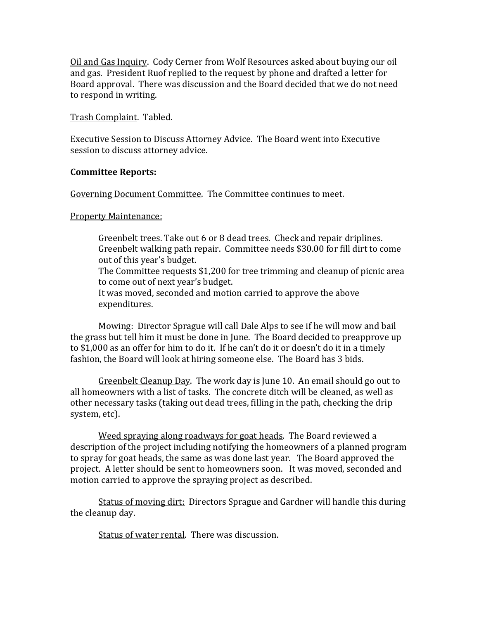Oil and Gas Inquiry. Cody Cerner from Wolf Resources asked about buying our oil and gas. President Ruof replied to the request by phone and drafted a letter for Board approval. There was discussion and the Board decided that we do not need to respond in writing.

Trash Complaint. Tabled.

Executive Session to Discuss Attorney Advice. The Board went into Executive session to discuss attorney advice.

#### **Committee Reports:**

Governing Document Committee. The Committee continues to meet.

#### **Property Maintenance:**

Greenbelt trees. Take out 6 or 8 dead trees. Check and repair driplines. Greenbelt walking path repair. Committee needs \$30.00 for fill dirt to come out of this year's budget. The Committee requests \$1,200 for tree trimming and cleanup of picnic area to come out of next year's budget. It was moved, seconded and motion carried to approve the above expenditures. 

Mowing: Director Sprague will call Dale Alps to see if he will mow and bail the grass but tell him it must be done in June. The Board decided to preapprove up to  $$1,000$  as an offer for him to do it. If he can't do it or doesn't do it in a timely fashion, the Board will look at hiring someone else. The Board has 3 bids.

Greenbelt Cleanup Day. The work day is June 10. An email should go out to all homeowners with a list of tasks. The concrete ditch will be cleaned, as well as other necessary tasks (taking out dead trees, filling in the path, checking the drip system, etc).

Weed spraying along roadways for goat heads. The Board reviewed a description of the project including notifying the homeowners of a planned program to spray for goat heads, the same as was done last year. The Board approved the project. A letter should be sent to homeowners soon. It was moved, seconded and motion carried to approve the spraying project as described.

Status of moving dirt: Directors Sprague and Gardner will handle this during the cleanup day.

Status of water rental. There was discussion.